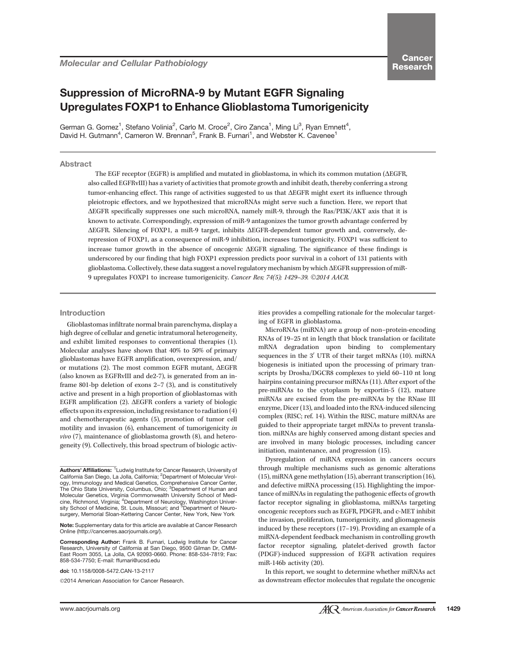# Suppression of MicroRNA-9 by Mutant EGFR Signaling Upregulates FOXP1 to Enhance Glioblastoma Tumorigenicity

German G. Gomez<sup>1</sup>, Stefano Volinia<sup>2</sup>, Carlo M. Croce<sup>2</sup>, Ciro Zanca<sup>1</sup>, Ming Li<sup>3</sup>, Ryan Emnett<sup>4</sup>, David H. Gutmann<sup>4</sup>, Cameron W. Brennan<sup>5</sup>, Frank B. Furnari<sup>1</sup>, and Webster K. Cavenee<sup>1</sup>

# Abstract

The EGF receptor (EGFR) is amplified and mutated in glioblastoma, in which its common mutation ( $\triangle E$ GFR, also called EGFRvIII) has a variety of activities that promote growth and inhibit death, thereby conferring a strong tumor-enhancing effect. This range of activities suggested to us that DEGFR might exert its influence through pleiotropic effectors, and we hypothesized that microRNAs might serve such a function. Here, we report that DEGFR specifically suppresses one such microRNA, namely miR-9, through the Ras/PI3K/AKT axis that it is known to activate. Correspondingly, expression of miR-9 antagonizes the tumor growth advantage conferred by DEGFR. Silencing of FOXP1, a miR-9 target, inhibits DEGFR-dependent tumor growth and, conversely, derepression of FOXP1, as a consequence of miR-9 inhibition, increases tumorigenicity. FOXP1 was sufficient to increase tumor growth in the absence of oncogenic DEGFR signaling. The significance of these findings is underscored by our finding that high FOXP1 expression predicts poor survival in a cohort of 131 patients with glioblastoma. Collectively, these data suggest a novel regulatory mechanism by which DEGFR suppression of miR-9 upregulates FOXP1 to increase tumorigenicity. Cancer Res; 74(5); 1429-39. ©2014 AACR.

# Introduction

Glioblastomas infiltrate normal brain parenchyma, display a high degree of cellular and genetic intratumoral heterogeneity, and exhibit limited responses to conventional therapies (1). Molecular analyses have shown that 40% to 50% of primary glioblastomas have EGFR amplification, overexpression, and/ or mutations (2). The most common EGFR mutant,  $\triangle EGFR$ (also known as EGFRvIII and de2-7), is generated from an inframe 801-bp deletion of exons 2–7 (3), and is constitutively active and present in a high proportion of glioblastomas with EGFR amplification  $(2)$ .  $\Delta$ EGFR confers a variety of biologic effects upon its expression, including resistance to radiation (4) and chemotherapeutic agents (5), promotion of tumor cell motility and invasion (6), enhancement of tumorigenicity in *vivo* (7), maintenance of glioblastoma growth  $(8)$ , and heterogeneity (9). Collectively, this broad spectrum of biologic activ-

Corresponding Author: Frank B. Furnari, Ludwig Institute for Cancer Research, University of California at San Diego, 9500 Gilman Dr, CMM-East Room 3055, La Jolla, CA 92093-0660. Phone: 858-534-7819; Fax: 858-534-7750; E-mail: ffurnari@ucsd.edu

doi: 10.1158/0008-5472.CAN-13-2117

©2014 American Association for Cancer Research.

ities provides a compelling rationale for the molecular targeting of EGFR in glioblastoma.

MicroRNAs (miRNA) are a group of non–protein-encoding RNAs of 19–25 nt in length that block translation or facilitate mRNA degradation upon binding to complementary sequences in the  $3'$  UTR of their target mRNAs (10). miRNA biogenesis is initiated upon the processing of primary transcripts by Drosha/DGCR8 complexes to yield 60–110 nt long hairpins containing precursor miRNAs (11). After export of the pre-miRNAs to the cytoplasm by exportin-5 (12), mature miRNAs are excised from the pre-miRNAs by the RNase III enzyme, Dicer (13), and loaded into the RNA-induced silencing complex (RISC; ref. 14). Within the RISC, mature miRNAs are guided to their appropriate target mRNAs to prevent translation. miRNAs are highly conserved among distant species and are involved in many biologic processes, including cancer initiation, maintenance, and progression (15).

Dysregulation of miRNA expression in cancers occurs through multiple mechanisms such as genomic alterations (15), miRNA gene methylation (15), aberrant transcription (16), and defective miRNA processing (15). Highlighting the importance of miRNAs in regulating the pathogenic effects of growth factor receptor signaling in glioblastoma, miRNAs targeting oncogenic receptors such as EGFR, PDGFR, and c-MET inhibit the invasion, proliferation, tumorigenicity, and gliomagenesis induced by these receptors (17–19). Providing an example of a miRNA-dependent feedback mechanism in controlling growth factor receptor signaling, platelet-derived growth factor (PDGF)-induced suppression of EGFR activation requires miR-146b activity (20).

In this report, we sought to determine whether miRNAs act as downstream effector molecules that regulate the oncogenic

Authors' Affiliations: <sup>1</sup>Ludwig Institute for Cancer Research, University of California San Diego, La Jolla, California; <sup>2</sup>Department of Molecular Virology, Immunology and Medical Genetics, Comprehensive Cancer Center,<br>The Ohio State University, Columbus, Ohio; <sup>3</sup>Department of Human and Molecular Genetics, Virginia Commonwealth University School of Medicine, Richmond, Virginia; <sup>4</sup>Department of Neurology, Washington Univer-<br>sity School of Medicine, St. Louis, Missouri; and <sup>5</sup>Department of Neurosurgery, Memorial Sloan-Kettering Cancer Center, New York, New York

Note: Supplementary data for this article are available at Cancer Research Online (http://cancerres.aacrjournals.org/).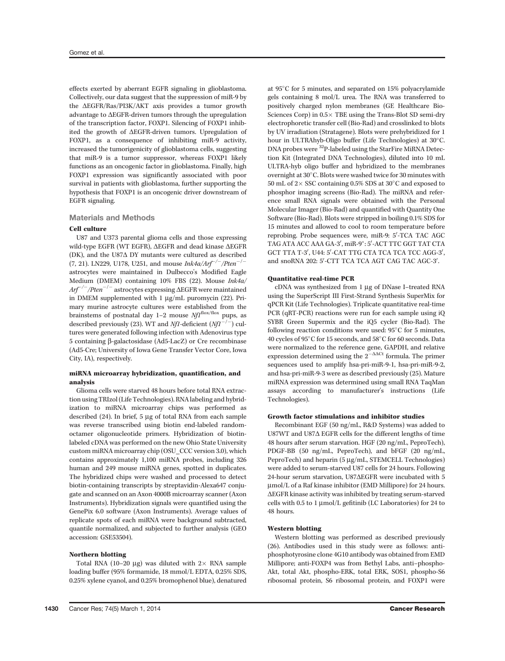effects exerted by aberrant EGFR signaling in glioblastoma. Collectively, our data suggest that the suppression of miR-9 by the  $\Delta E$ GFR/Ras/PI3K/AKT axis provides a tumor growth advantage to  $\Delta E$ GFR-driven tumors through the upregulation of the transcription factor, FOXP1. Silencing of FOXP1 inhibited the growth of  $\Delta E$ GFR-driven tumors. Upregulation of FOXP1, as a consequence of inhibiting miR-9 activity, increased the tumorigenicity of glioblastoma cells, suggesting that miR-9 is a tumor suppressor, whereas FOXP1 likely functions as an oncogenic factor in glioblastoma. Finally, high FOXP1 expression was significantly associated with poor survival in patients with glioblastoma, further supporting the hypothesis that FOXP1 is an oncogenic driver downstream of EGFR signaling.

# Materials and Methods

## Cell culture

U87 and U373 parental glioma cells and those expressing wild-type EGFR (WT EGFR), ΔEGFR and dead kinase ΔEGFR (DK), and the U87 $\Delta$  DY mutants were cultured as described  $(7, 21)$ . LN229, U178, U251, and mouse Ink4a/Arf<sup>-/-</sup>/Pten<sup>-/-</sup> astrocytes were maintained in Dulbecco's Modified Eagle Medium (DMEM) containing 10% FBS (22). Mouse Ink4a/  $Arf^{-/-}/Pten^{-/-}$  astrocytes expressing  $\Delta E$ GFR were maintained in DMEM supplemented with  $1 \mu g/mL$  puromycin (22). Primary murine astrocyte cultures were established from the brainstems of postnatal day 1-2 mouse  $Nf1^{\text{flox/flox}}$  pups, as described previously (23). WT and Nf1-deficient  $(Nf1^{-/-})$  cultures were generated following infection with Adenovirus type 5 containing b-galactosidase (Ad5-LacZ) or Cre recombinase (Ad5-Cre; University of Iowa Gene Transfer Vector Core, Iowa City, IA), respectively.

## miRNA microarray hybridization, quantification, and analysis

Glioma cells were starved 48 hours before total RNA extraction using TRIzol (Life Technologies). RNA labeling and hybridization to miRNA microarray chips was performed as described  $(24)$ . In brief, 5  $\mu$ g of total RNA from each sample was reverse transcribed using biotin end-labeled randomoctamer oligonucleotide primers. Hybridization of biotinlabeled cDNA was performed on the new Ohio State University custom miRNA microarray chip (OSU\_CCC version 3.0), which contains approximately 1,100 miRNA probes, including 326 human and 249 mouse miRNA genes, spotted in duplicates. The hybridized chips were washed and processed to detect biotin-containing transcripts by streptavidin-Alexa647 conjugate and scanned on an Axon 4000B microarray scanner (Axon Instruments). Hybridization signals were quantified using the GenePix 6.0 software (Axon Instruments). Average values of replicate spots of each miRNA were background subtracted, quantile normalized, and subjected to further analysis (GEO accession: GSE53504).

## Northern blotting

Total RNA (10–20 µg) was diluted with  $2 \times$  RNA sample loading buffer (95% formamide, 18 mmol/L EDTA, 0.25% SDS, 0.25% xylene cyanol, and 0.25% bromophenol blue), denatured at 95C for 5 minutes, and separated on 15% polyacrylamide gels containing 8 mol/L urea. The RNA was transferred to positively charged nylon membranes (GE Healthcare Bio-Sciences Corp) in  $0.5 \times$  TBE using the Trans-Blot SD semi-dry electrophoretic transfer cell (Bio-Rad) and crosslinked to blots by UV irradiation (Stratagene). Blots were prehybridized for 1 hour in ULTRAhyb-Oligo buffer (Life Technologies) at 30°C. DNA probes were 32P-labeled using the StarFire MiRNA Detection Kit (Integrated DNA Technologies), diluted into 10 mL ULTRA-hyb oligo buffer and hybridized to the membranes overnight at 30°C. Blots were washed twice for 30 minutes with 50 mL of  $2 \times$  SSC containing 0.5% SDS at 30 $^{\circ}$ C and exposed to phosphor imaging screens (Bio-Rad). The miRNA and reference small RNA signals were obtained with the Personal Molecular Imager (Bio-Rad) and quantified with Quantity One Software (Bio-Rad). Blots were stripped in boiling 0.1% SDS for 15 minutes and allowed to cool to room temperature before reprobing. Probe sequences were, miR-9: 5'-TCA TAC AGC TAG ATA ACC AAA GA-3', miR-9\*: 5'-ACT TTC GGT TAT CTA GCT TTA T-3′, U44: 5′-CAT TTG CTA TCA TCA TCC AGG-3′ , and snoRNA 202: 5'-CTT TCA TCA AGT CAG TAC AGC-3' .

## Quantitative real-time PCR

 $cDNA$  was synthesized from 1  $\mu$ g of DNase I-treated RNA using the SuperScript III First-Strand Synthesis SuperMix for qPCR Kit (Life Technologies). Triplicate quantitative real-time PCR (qRT-PCR) reactions were run for each sample using iQ SYBR Green Supermix and the iQ5 cycler (Bio-Rad). The following reaction conditions were used:  $95^{\circ}$ C for 5 minutes, 40 cycles of 95°C for 15 seconds, and 58°C for 60 seconds. Data were normalized to the reference gene, GAPDH, and relative expression determined using the  $2^{-\Delta\Delta Ct}$  formula. The primer sequences used to amplify hsa-pri-miR-9-1, hsa-pri-miR-9-2, and hsa-pri-miR-9-3 were as described previously (25). Mature miRNA expression was determined using small RNA TaqMan assays according to manufacturer's instructions (Life Technologies).

## Growth factor stimulations and inhibitor studies

Recombinant EGF (50 ng/mL, R&D Systems) was added to U87WT and U87 $\Delta$  EGFR cells for the different lengths of time 48 hours after serum starvation. HGF (20 ng/mL, PeproTech), PDGF-BB (50 ng/mL, PeproTech), and bFGF (20 ng/mL, PeproTech) and heparin (5 µg/mL, STEMCELL Technologies) were added to serum-starved U87 cells for 24 hours. Following 24-hour serum starvation, U87 $\Delta$ EGFR were incubated with 5 mmol/L of a Raf kinase inhibitor (EMD Millipore) for 24 hours.  $\Delta E$ GFR kinase activity was inhibited by treating serum-starved cells with 0.5 to 1 µmol/L gefitinib (LC Laboratories) for 24 to 48 hours.

## Western blotting

Western blotting was performed as described previously (26). Antibodies used in this study were as follows: antiphosphotyrosine clone 4G10 antibody was obtained from EMD Millipore; anti-FOXP4 was from Bethyl Labs, anti–phospho-Akt, total Akt, phospho-ERK, total ERK, SOS1, phospho-S6 ribosomal protein, S6 ribosomal protein, and FOXP1 were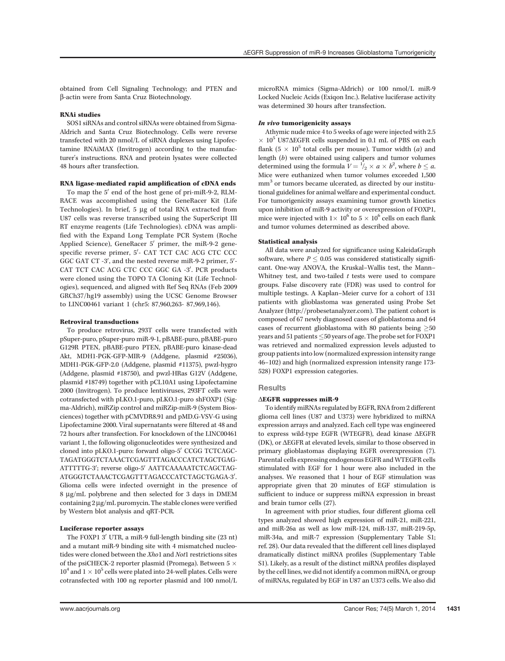obtained from Cell Signaling Technology; and PTEN and b-actin were from Santa Cruz Biotechnology.

# RNAi studies

SOS1 siRNAs and control siRNAs were obtained from Sigma-Aldrich and Santa Cruz Biotechnology. Cells were reverse transfected with 20 nmol/L of siRNA duplexes using Lipofectamine RNAiMAX (Invitrogen) according to the manufacturer's instructions. RNA and protein lysates were collected 48 hours after transfection.

# RNA ligase-mediated rapid amplification of cDNA ends

To map the 5' end of the host gene of pri-miR-9-2, RLM-RACE was accomplished using the GeneRacer Kit (Life Technologies). In brief, 5 µg of total RNA extracted from U87 cells was reverse transcribed using the SuperScript III RT enzyme reagents (Life Technologies). cDNA was amplified with the Expand Long Template PCR System (Roche Applied Science), GeneRacer 5' primer, the miR-9-2 genespecific reverse primer, 5'- CAT TCT CAC ACG CTC CCC GGC GAT CT  $-3'$ , and the nested reverse miR-9-2 primer,  $5'$ -CAT TCT CAC ACG CTC CCC GGC GA -3'. PCR products were cloned using the TOPO TA Cloning Kit (Life Technologies), sequenced, and aligned with Ref Seq RNAs (Feb 2009 GRCh37/hg19 assembly) using the UCSC Genome Browser to LINC00461 variant 1 (chr5: 87,960,263- 87,969,146).

## Retroviral transductions

To produce retrovirus, 293T cells were transfected with pSuper-puro, pSuper-puro miR-9-1, pBABE-puro, pBABE-puro G129R PTEN, pBABE-puro PTEN, pBABE-puro kinase-dead Akt, MDH1-PGK-GFP-MIR-9 (Addgene, plasmid #25036), MDH1-PGK-GFP-2.0 (Addgene, plasmid #11375), pwzl-hygro (Addgene, plasmid #18750), and pwzl-HRas G12V (Addgene, plasmid #18749) together with pCL10A1 using Lipofectamine 2000 (Invitrogen). To produce lentiviruses, 293FT cells were cotransfected with pLKO.1-puro, pLKO.1-puro shFOXP1 (Sigma-Aldrich), miRZip control and miRZip-miR-9 (System Biosciences) together with pCMVDR8.91 and pMD.G-VSV-G using Lipofectamine 2000. Viral supernatants were filtered at 48 and 72 hours after transfection. For knockdown of the LINC00461 variant 1, the following oligonucleotides were synthesized and cloned into pLKO.1-puro: forward oligo-5' CCGG TCTCAGC-TAGATGGGTCTAAACTCGAGTTTAGACCCATCTAGCTGAG-ATTTTTG-3'; reverse oligo-5' AATTCAAAAATCTCAGCTAG-ATGGGTCTAAACTCGAGTTTAGACCCATCTAGCTGAGA-3'. . Glioma cells were infected overnight in the presence of 8 mg/mL polybrene and then selected for 3 days in DMEM containing  $2 \mu g/mL$  puromycin. The stable clones were verified by Western blot analysis and qRT-PCR.

## Luciferase reporter assays

The FOXP1  $3'$  UTR, a miR-9 full-length binding site (23 nt) and a mutant miR-9 binding site with 4 mismatched nucleotides were cloned between the Xho1 and Not1 restrictions sites of the psiCHECK-2 reporter plasmid (Promega). Between 5  $\times$  $10^4$  and  $1 \times 10^5$  cells were plated into 24-well plates. Cells were cotransfected with 100 ng reporter plasmid and 100 nmol/L

microRNA mimics (Sigma-Aldrich) or 100 nmol/L miR-9 Locked Nucleic Acids (Exiqon Inc.). Relative luciferase activity was determined 30 hours after transfection.

# In vivo tumorigenicity assays

Athymic nude mice 4 to 5 weeks of age were injected with 2.5  $\times$  10<sup>5</sup> U87 $\Delta$ EGFR cells suspended in 0.1 mL of PBS on each flank  $(5 \times 10^5$  total cells per mouse). Tumor width (a) and length (b) were obtained using calipers and tumor volumes determined using the formula  $V = \frac{1}{2} \times a \times b^2$ , where  $b \le a$ . Mice were euthanized when tumor volumes exceeded 1,500 mm<sup>3</sup> or tumors became ulcerated, as directed by our institutional guidelines for animal welfare and experimental conduct. For tumorigenicity assays examining tumor growth kinetics upon inhibition of miR-9 activity or overexpression of FOXP1, mice were injected with  $1 \times 10^6$  to  $5 \times 10^6$  cells on each flank and tumor volumes determined as described above.

#### Statistical analysis

All data were analyzed for significance using KaleidaGraph software, where  $P \leq 0.05$  was considered statistically significant. One-way ANOVA, the Kruskal–Wallis test, the Mann– Whitney test, and two-tailed  $t$  tests were used to compare groups. False discovery rate (FDR) was used to control for multiple testings. A Kaplan–Meier curve for a cohort of 131 patients with glioblastoma was generated using Probe Set Analyzer (http://probesetanalyzer.com). The patient cohort is composed of 67 newly diagnosed cases of glioblastoma and 64 cases of recurrent glioblastoma with 80 patients being  $\geq 50$ years and 51 patients  $\leq$  50 years of age. The probe set for FOXP1 was retrieved and normalized expression levels adjusted to group patients into low (normalized expression intensity range 46–102) and high (normalized expression intensity range 173- 528) FOXP1 expression categories.

# **Results**

# $\triangle$ EGFR suppresses miR-9

To identify miRNAs regulated by EGFR, RNA from 2 different glioma cell lines (U87 and U373) were hybridized to miRNA expression arrays and analyzed. Each cell type was engineered to express wild-type EGFR (WTEGFR), dead kinase  $\Delta E$ GFR (DK), or  $\Delta E$ GFR at elevated levels, similar to those observed in primary glioblastomas displaying EGFR overexpression (7). Parental cells expressing endogenous EGFR and WTEGFR cells stimulated with EGF for 1 hour were also included in the analyses. We reasoned that 1 hour of EGF stimulation was appropriate given that 20 minutes of EGF stimulation is sufficient to induce or suppress miRNA expression in breast and brain tumor cells (27).

In agreement with prior studies, four different glioma cell types analyzed showed high expression of miR-21, miR-221, and miR-26a as well as low miR-124, miR-137, miR-219-5p, miR-34a, and miR-7 expression (Supplementary Table S1; ref. 28). Our data revealed that the different cell lines displayed dramatically distinct miRNA profiles (Supplementary Table S1). Likely, as a result of the distinct miRNA profiles displayed by the cell lines, we did not identify a common miRNA, or group of miRNAs, regulated by EGF in U87 an U373 cells. We also did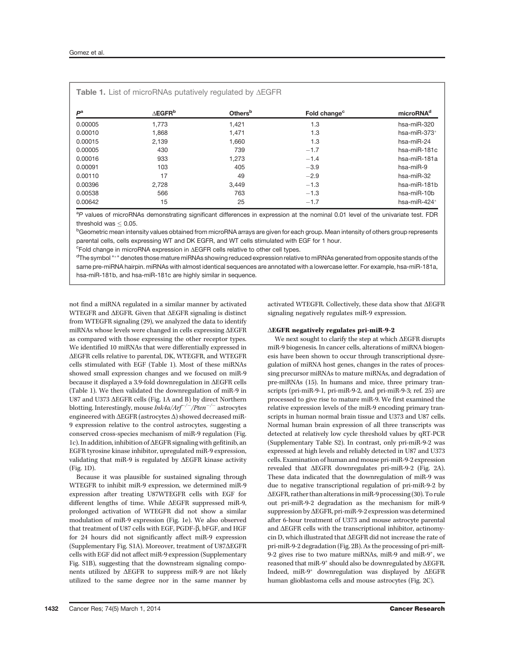| $P^a$   | $\triangle$ EGFR <sup>b</sup> | <b>Others</b> <sup>b</sup> | Fold change <sup>c</sup> | microRNA <sup>d</sup>  |
|---------|-------------------------------|----------------------------|--------------------------|------------------------|
| 0.00005 | 1.773                         | 1.421                      | 1.3                      | hsa-miR-320            |
| 0.00010 | 1,868                         | 1.471                      | 1.3                      | hsa-miR-373 $*$        |
| 0.00015 | 2.139                         | 1.660                      | 1.3                      | hsa-miR-24             |
| 0.00005 | 430                           | 739                        | $-1.7$                   | $hsa$ -mi $R$ -181 $c$ |
| 0.00016 | 933                           | 1.273                      | $-1.4$                   | hsa-miR-181a           |
| 0.00091 | 103                           | 405                        | $-3.9$                   | hsa-miR-9              |
| 0.00110 | 17                            | 49                         | $-2.9$                   | hsa-miR-32             |
| 0.00396 | 2,728                         | 3,449                      | $-1.3$                   | hsa-miR-181b           |
| 0.00538 | 566                           | 763                        | $-1.3$                   | hsa-miR-10b            |
| 0.00642 | 15                            | 25                         | $-1.7$                   | hsa-miR-424*           |

<sup>a</sup>P values of microRNAs demonstrating significant differences in expression at the nominal 0.01 level of the univariate test. FDR

threshold was  $\leq$  0.05.<br><sup>b</sup>Geometric mean intensity values obtained from microRNA arrays are given for each group. Mean intensity of others group represents parental cells, cells expressing WT and DK EGFR, and WT cells stimulated with EGF for 1 hour.

<sup>c</sup>Fold change in microRNA expression in ∆EGFR cells relative to other cell types.

<sup>d</sup>The symbol "\*" denotes those mature miRNAs showing reduced expression relative to miRNAs generated from opposite stands of the same pre-miRNA hairpin. miRNAs with almost identical sequences are annotated with a lowercase letter. For example, hsa-miR-181a, hsa-miR-181b, and hsa-miR-181c are highly similar in sequence.

not find a miRNA regulated in a similar manner by activated WTEGFR and  $\triangle E$ GFR. Given that  $\triangle E$ GFR signaling is distinct from WTEGFR signaling (29), we analyzed the data to identify miRNAs whose levels were changed in cells expressing  $\Delta E$ GFR as compared with those expressing the other receptor types. We identified 10 miRNAs that were differentially expressed in DEGFR cells relative to parental, DK, WTEGFR, and WTEGFR cells stimulated with EGF (Table 1). Most of these miRNAs showed small expression changes and we focused on miR-9 because it displayed a 3.9-fold downregulation in  $\Delta E$ GFR cells (Table 1). We then validated the downregulation of miR-9 in U87 and U373  $\triangle E$ GFR cells (Fig. 1A and B) by direct Northern blotting. Interestingly, mouse  $\frac{b}{h}$  Ink4a/Arf<sup>-/-</sup>/Pten<sup>-/-</sup> astrocytes engineered with  $\triangle EGFR$  (astrocytes  $\triangle$ ) showed decreased miR-9 expression relative to the control astrocytes, suggesting a conserved cross-species mechanism of miR-9 regulation (Fig. 1c). In addition, inhibition of  $\Delta E$ GFR signaling with gefitinib, an EGFR tyrosine kinase inhibitor, upregulated miR-9 expression, validating that miR-9 is regulated by  $\Delta E$ GFR kinase activity (Fig. 1D).

Because it was plausible for sustained signaling through WTEGFR to inhibit miR-9 expression, we determined miR-9 expression after treating U87WTEGFR cells with EGF for different lengths of time. While  $\Delta E$ GFR suppressed miR-9, prolonged activation of WTEGFR did not show a similar modulation of miR-9 expression (Fig. 1e). We also observed that treatment of U87 cells with EGF, PGDF- $\beta$ , bFGF, and HGF for 24 hours did not significantly affect miR-9 expression (Supplementary Fig. S1A). Moreover, treatment of U87 $\Delta E$ GFR cells with EGF did not affect miR-9 expression (Supplementary Fig. S1B), suggesting that the downstream signaling components utilized by  $\Delta E$ GFR to suppress miR-9 are not likely utilized to the same degree nor in the same manner by activated WTEGFR. Collectively, these data show that  $\Delta E$ GFR signaling negatively regulates miR-9 expression.

## $\triangle E$ GFR negatively regulates pri-miR-9-2

We next sought to clarify the step at which  $\Delta E$ GFR disrupts miR-9 biogenesis. In cancer cells, alterations of miRNA biogenesis have been shown to occur through transcriptional dysregulation of miRNA host genes, changes in the rates of processing precursor miRNAs to mature miRNAs, and degradation of pre-miRNAs (15). In humans and mice, three primary transcripts (pri-miR-9-1, pri-miR-9-2, and pri-miR-9-3; ref. 25) are processed to give rise to mature miR-9. We first examined the relative expression levels of the miR-9 encoding primary transcripts in human normal brain tissue and U373 and U87 cells. Normal human brain expression of all three transcripts was detected at relatively low cycle threshold values by qRT-PCR (Supplementary Table S2). In contrast, only pri-miR-9-2 was expressed at high levels and reliably detected in U87 and U373 cells. Examination of human and mouse pri-miR-9-2 expression revealed that DEGFR downregulates pri-miR-9-2 (Fig. 2A). These data indicated that the downregulation of miR-9 was due to negative transcriptional regulation of pri-miR-9-2 by  $\Delta E$ GFR, rather than alterations in miR-9 processing (30). To rule out pri-miR-9-2 degradation as the mechanism for miR-9 suppression by  $\Delta E$ GFR, pri-miR-9-2 expression was determined after 6-hour treatment of U373 and mouse astrocyte parental and  $\Delta E$ GFR cells with the transcriptional inhibitor, actinomycin D, which illustrated that  $\Delta E$ GFR did not increase the rate of pri-miR-9-2 degradation (Fig. 2B). As the processing of pri-miR-9-2 gives rise to two mature miRNAs, miR-9 and miR-9 $*$ , we reasoned that miR-9 $*$  should also be downregulated by  $\Delta E$ GFR. Indeed, miR-9\* downregulation was displayed by  $\triangle EGFR$ human glioblastoma cells and mouse astrocytes (Fig. 2C).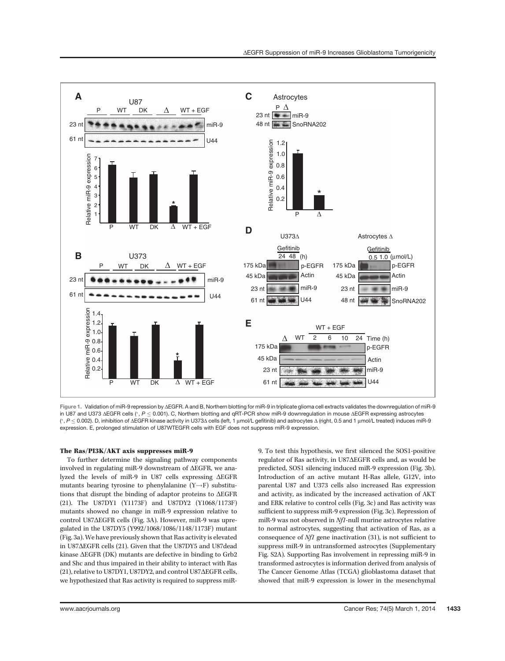

Figure 1. Validation of miR-9 repression by AEGFR. A and B, Northern blotting for miR-9 in triplicate glioma cell extracts validates the downregulation of miR-9 in U87 and U373  $\triangle E$ GFR cells (\*,  $P \le 0.001$ ). C, Northern blotting and qRT-PCR show miR-9 downregulation in mouse  $\triangle E$ GFR expressing astrocytes ( $^*$ , P  $\leq$  0.002). D, inhibition of ∆EGFR kinase activity in U373∆ cells (left, 1 µmol/L gefitinib) and astrocytes ∆ (right, 0.5 and 1 µmol/L treated) induces miR-9 expression. E, prolonged stimulation of U87WTEGFR cells with EGF does not suppress miR-9 expression.

# The Ras/PI3K/AKT axis suppresses miR-9

To further determine the signaling pathway components involved in regulating miR-9 downstream of  $\Delta E$ GFR, we analyzed the levels of miR-9 in U87 cells expressing  $\Delta E$ GFR mutants bearing tyrosine to phenylalanine  $(Y \rightarrow F)$  substitutions that disrupt the binding of adaptor proteins to  $\triangle EGFR$ (21). The U87DY1 (Y1173F) and U87DY2 (Y1068/1173F) mutants showed no change in miR-9 expression relative to control U87 $\Delta$ EGFR cells (Fig. 3A). However, miR-9 was upregulated in the U87DY5 (Y992/1068/1086/1148/1173F) mutant (Fig. 3a). We have previously shown that Ras activity is elevated in U87DEGFR cells (21). Given that the U87DY5 and U87dead kinase  $\Delta E$ GFR (DK) mutants are defective in binding to Grb2 and Shc and thus impaired in their ability to interact with Ras (21), relative to U87DY1, U87DY2, and control U87 $\Delta E$ GFR cells, we hypothesized that Ras activity is required to suppress miR- 9. To test this hypothesis, we first silenced the SOS1-positive regulator of Ras activity, in U87 $\Delta$ EGFR cells and, as would be predicted, SOS1 silencing induced miR-9 expression (Fig. 3b). Introduction of an active mutant H-Ras allele, G12V, into parental U87 and U373 cells also increased Ras expression and activity, as indicated by the increased activation of AKT and ERK relative to control cells (Fig. 3c) and Ras activity was sufficient to suppress miR-9 expression (Fig. 3c). Repression of miR-9 was not observed in Nf1-null murine astrocytes relative to normal astrocytes, suggesting that activation of Ras, as a consequence of Nf1 gene inactivation (31), is not sufficient to suppress miR-9 in untransformed astrocytes (Supplementary Fig. S2A). Supporting Ras involvement in repressing miR-9 in transformed astrocytes is information derived from analysis of The Cancer Genome Atlas (TCGA) glioblastoma dataset that showed that miR-9 expression is lower in the mesenchymal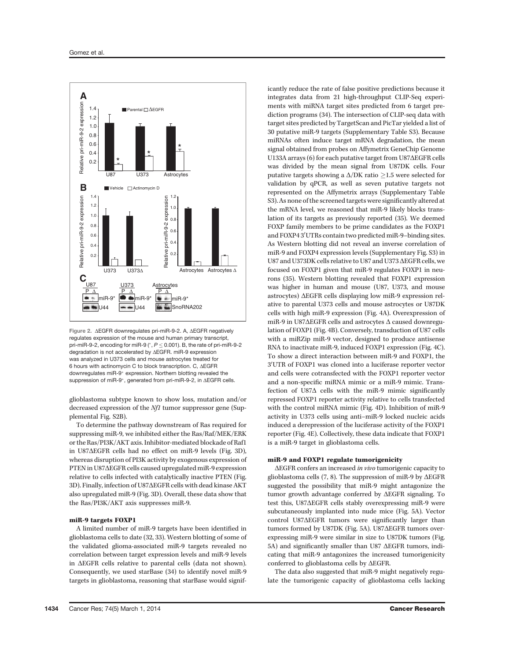

Figure 2. AEGFR downregulates pri-miR-9-2. A, AEGFR negatively regulates expression of the mouse and human primary transcript, pri-miR-9-2, encoding for miR-9 ( $^*$ ,  $P \le 0.001$ ). B, the rate of pri-miR-9-2 degradation is not accelerated by AEGFR. miR-9 expression was analyzed in U373 cells and mouse astrocytes treated for 6 hours with actinomycin C to block transcription. C,  $\triangle EGFR$ downregulates miR-9<sup>\*</sup> expression. Northern blotting revealed the suppression of miR-9\*, generated from pri-miR-9-2, in  $\Delta E$ GFR cells.

glioblastoma subtype known to show loss, mutation and/or decreased expression of the Nf1 tumor suppressor gene (Supplemental Fig. S2B).

To determine the pathway downstream of Ras required for suppressing miR-9, we inhibited either the Ras/Raf/MEK/ERK or the Ras/PI3K/AKT axis. Inhibitor-mediated blockade of Raf1 in U87 $\Delta$ EGFR cells had no effect on miR-9 levels (Fig. 3D), whereas disruption of PI3K activity by exogenous expression of PTEN in U87 $\Delta$ EGFR cells caused upregulated miR-9 expression relative to cells infected with catalytically inactive PTEN (Fig. 3D). Finally, infection of U87 $\Delta$ EGFR cells with dead kinase AKT also upregulated miR-9 (Fig. 3D). Overall, these data show that the Ras/PI3K/AKT axis suppresses miR-9.

# miR-9 targets FOXP1

A limited number of miR-9 targets have been identified in glioblastoma cells to date (32, 33). Western blotting of some of the validated glioma-associated miR-9 targets revealed no correlation between target expression levels and miR-9 levels in  $\triangle E$ GFR cells relative to parental cells (data not shown). Consequently, we used starBase (34) to identify novel miR-9 targets in glioblastoma, reasoning that starBase would significantly reduce the rate of false positive predictions because it integrates data from 21 high-throughput CLIP-Seq experiments with miRNA target sites predicted from 6 target prediction programs (34). The intersection of CLIP-seq data with target sites predicted by TargetScan and PicTar yielded a list of 30 putative miR-9 targets (Supplementary Table S3). Because miRNAs often induce target mRNA degradation, the mean signal obtained from probes on Affymetrix GeneChip Genome U133A arrays  $(6)$  for each putative target from U87 $\Delta$ EGFR cells was divided by the mean signal from U87DK cells. Four putative targets showing a  $\Delta/DK$  ratio  $\geq$  1.5 were selected for validation by qPCR, as well as seven putative targets not represented on the Affymetrix arrays (Supplementary Table S3). As none of the screened targets were significantly altered at the mRNA level, we reasoned that miR-9 likely blocks translation of its targets as previously reported (35). We deemed FOXP family members to be prime candidates as the FOXP1 and FOXP43'UTRs contain two predicted miR-9-binding sites. As Western blotting did not reveal an inverse correlation of miR-9 and FOXP4 expression levels (Supplementary Fig. S3) in U87 and U373DK cells relative to U87 and U373  $\Delta E$ GFR cells, we focused on FOXP1 given that miR-9 regulates FOXP1 in neurons (35). Western blotting revealed that FOXP1 expression was higher in human and mouse (U87, U373, and mouse astrocytes)  $\Delta E$ GFR cells displaying low miR-9 expression relative to parental U373 cells and mouse astrocytes or U87DK cells with high miR-9 expression (Fig. 4A). Overexpression of miR-9 in U87 $\Delta$ EGFR cells and astrocytes  $\Delta$  caused downregulation of FOXP1 (Fig. 4B). Conversely, transduction of U87 cells with a miRZip miR-9 vector, designed to produce antisense RNA to inactivate miR-9, induced FOXP1 expression (Fig. 4C). To show a direct interaction between miR-9 and FOXP1, the 3'UTR of FOXP1 was cloned into a luciferase reporter vector and cells were cotransfected with the FOXP1 reporter vector and a non-specific miRNA mimic or a miR-9 mimic. Transfection of U87 $\Delta$  cells with the miR-9 mimic significantly repressed FOXP1 reporter activity relative to cells transfected with the control miRNA mimic (Fig. 4D). Inhibition of miR-9 activity in U373 cells using anti–miR-9 locked nucleic acids induced a derepression of the luciferase activity of the FOXP1 reporter (Fig. 4E). Collectively, these data indicate that FOXP1 is a miR-9 target in glioblastoma cells.

# miR-9 and FOXP1 regulate tumorigenicity

 $\Delta E$ GFR confers an increased *in vivo* tumorigenic capacity to glioblastoma cells  $(7, 8)$ . The suppression of miR-9 by  $\Delta E$ GFR suggested the possibility that miR-9 might antagonize the tumor growth advantage conferred by  $\Delta E$ GFR signaling. To test this, U87 $\Delta$ EGFR cells stably overexpressing miR-9 were subcutaneously implanted into nude mice (Fig. 5A). Vector  $control$  U87 $\triangle E$ GFR tumors were significantly larger than tumors formed by U87DK (Fig. 5A). U87 $\Delta$ EGFR tumors overexpressing miR-9 were similar in size to U87DK tumors (Fig. 5A) and significantly smaller than U87  $\Delta E$ GFR tumors, indicating that miR-9 antagonizes the increased tumorigenicity conferred to glioblastoma cells by  $\Delta E$ GFR.

The data also suggested that miR-9 might negatively regulate the tumorigenic capacity of glioblastoma cells lacking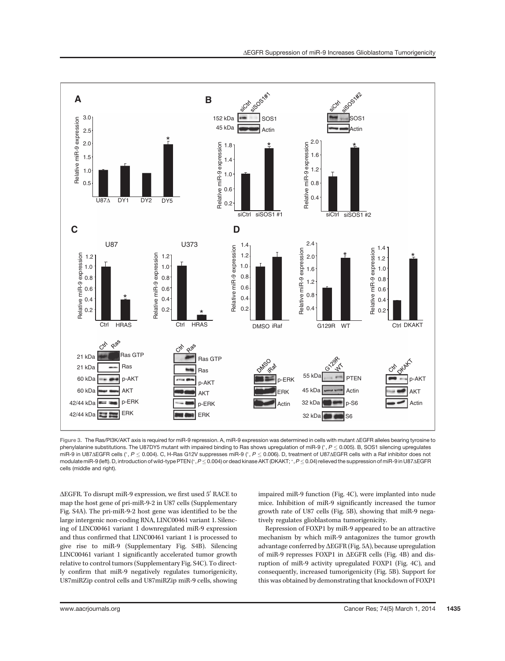

Figure 3. The Ras/PI3K/AKT axis is required for miR-9 repression. A, miR-9 expression was determined in cells with mutant  $\Delta$ EGFR alleles bearing tyrosine to phenylalanine substitutions. The U87DY5 mutant with impaired binding to Ras shows upregulation of miR-9  $(°, P \le 0.005)$ . B, SOS1 silencing upregulates miR-9 in U87 $\triangle$ GFR cells (°, P < 0.004). C, H-Ras G12V suppresses miR-9 (°, P < 0.006). D, treatment of U87 $\triangleq$ GFR cells with a Raf inhibitor does not modulate miR-9 (left). D, introduction of wild-type PTEN (\*, $P \le 0.004$ ) or dead kinase AKT (DKAKT; \*,  $P \le 0.04$ ) relieved the suppression of miR-9 in U87 $\Delta$ EGFR cells (middle and right).

 $\Delta E$ FR. To disrupt miR-9 expression, we first used  $5'$  RACE to map the host gene of pri-miR-9-2 in U87 cells (Supplementary Fig. S4A). The pri-miR-9-2 host gene was identified to be the large intergenic non-coding RNA, LINC00461 variant 1. Silencing of LINC00461 variant 1 downregulated miR-9 expression and thus confirmed that LINC00461 variant 1 is processed to give rise to miR-9 (Supplementary Fig. S4B). Silencing LINC00461 variant 1 significantly accelerated tumor growth relative to control tumors (Supplementary Fig. S4C). To directly confirm that miR-9 negatively regulates tumorigenicity, U87miRZip control cells and U87miRZip miR-9 cells, showing impaired miR-9 function (Fig. 4C), were implanted into nude mice. Inhibition of miR-9 significantly increased the tumor growth rate of U87 cells (Fig. 5B), showing that miR-9 negatively regulates glioblastoma tumorigenicity.

Repression of FOXP1 by miR-9 appeared to be an attractive mechanism by which miR-9 antagonizes the tumor growth advantage conferred by  $\Delta EGFR$  (Fig. 5A), because upregulation of miR-9 represses FOXP1 in  $\triangle E$ GFR cells (Fig. 4B) and disruption of miR-9 activity upregulated FOXP1 (Fig. 4C), and consequently, increased tumorigenicity (Fig. 5B). Support for this was obtained by demonstrating that knockdown of FOXP1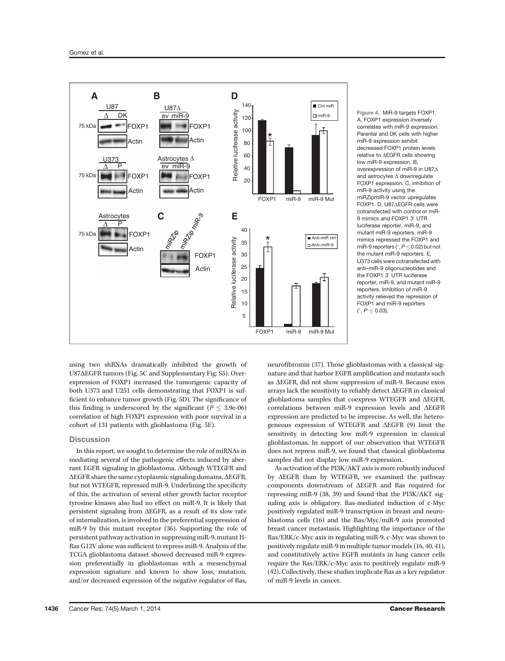

Figure 4. MiR-9 targets FOXP1. A, FOXP1 expression inversely correlates with miR-9 expression. Parental and DK cells with higher miR-9 expression exhibit decreased FOXP1 protein levels relative to AEGFR cells showing low miR-9 expression. B, overexpression of miR-9 in U87 $\Delta$ and astrocytes  $\Delta$  downregulate FOXP1 expression. C, inhibition of miR-9 activity using the miRZipmiR-9 vector upregulates FOXP1. D, U87AEGFR cells were cotransfected with control or miR-9 mimics and FOXP1 3' UTR luciferase reporter, miR-9, and mutant miR-9 reporters. miR-9 mimics repressed the FOXP1 and miR-9 reporters ( $P \le 0.02$ ) but not the mutant miR-9 reporters. E, U373 cells were cotransfected with anti–miR-9 oligonucleotides and the FOXP1 3' UTR luciferase reporter, miR-9, and mutant miR-9 reporters. Inhibition of miR-9 activity relieved the repression of FOXP1 and miR-9 reporters  $(^*, P \leq 0.03)$ .

using two shRNAs dramatically inhibited the growth of U87 $\Delta$ EGFR tumors (Fig. 5C and Supplementary Fig. S5). Overexpression of FOXP1 increased the tumorigenic capacity of both U373 and U251 cells demonstrating that FOXP1 is sufficient to enhance tumor growth (Fig. 5D). The significance of this finding is underscored by the significant ( $P \leq 3.9e-06$ ) correlation of high FOXP1 expression with poor survival in a cohort of 131 patients with glioblastoma (Fig. 5E).

# **Discussion**

In this report, we sought to determine the role of miRNAs in mediating several of the pathogenic effects induced by aberrant EGFR signaling in glioblastoma. Although WTEGFR and  $\Delta E$ GFR share the same cytoplasmic signaling domains,  $\Delta E$ GFR, but not WTEGFR, repressed miR-9. Underlining the specificity of this, the activation of several other growth factor receptor tyrosine kinases also had no effect on miR-9. It is likely that persistent signaling from  $\triangle EGFR$ , as a result of its slow rate of internalization, is involved in the preferential suppression of miR-9 by this mutant receptor (36). Supporting the role of persistent pathway activation in suppressing miR-9, mutant H-Ras G12V alone was sufficient to repress miR-9. Analysis of the TCGA glioblastoma dataset showed decreased miR-9 expression preferentially in glioblastomas with a mesenchymal expression signature and known to show loss, mutation, and/or decreased expression of the negative regulator of Ras, neurofibromin (37). Those glioblastomas with a classical signature and that harbor EGFR amplification and mutants such as  $\Delta E$ GFR, did not show suppression of miR-9. Because exon arrays lack the sensitivity to reliably detect  $\Delta E$ GFR in classical glioblastoma samples that coexpress WTEGFR and  $\triangle E$ GFR, correlations between miR-9 expression levels and  $\Delta EGFR$ expression are predicted to be imprecise. As well, the heterogeneous expression of WTEGFR and  $\triangle E$ GFR (9) limit the sensitivity in detecting low miR-9 expression in classical glioblastomas. In support of our observation that WTEGFR does not repress miR-9, we found that classical glioblastoma samples did not display low miR-9 expression.

As activation of the PI3K/AKT axis is more robustly induced by  $\triangle E$ GFR than by WTEGFR, we examined the pathway components downstream of  $\Delta E$ GFR and Ras required for repressing miR-9 (38, 39) and found that the PI3K/AKT signaling axis is obligatory. Ras-mediated induction of c-Myc positively regulated miR-9 transcription in breast and neuroblastoma cells (16) and the Ras/Myc/miR-9 axis promoted breast cancer metastasis. Highlighting the importance of the Ras/ERK/c-Myc axis in regulating miR-9, c-Myc was shown to positively regulate miR-9 in multiple tumor models (16, 40, 41), and constitutively active EGFR mutants in lung cancer cells require the Ras/ERK/c-Myc axis to positively regulate miR-9 (42). Collectively, these studies implicate Ras as a key regulator of miR-9 levels in cancer.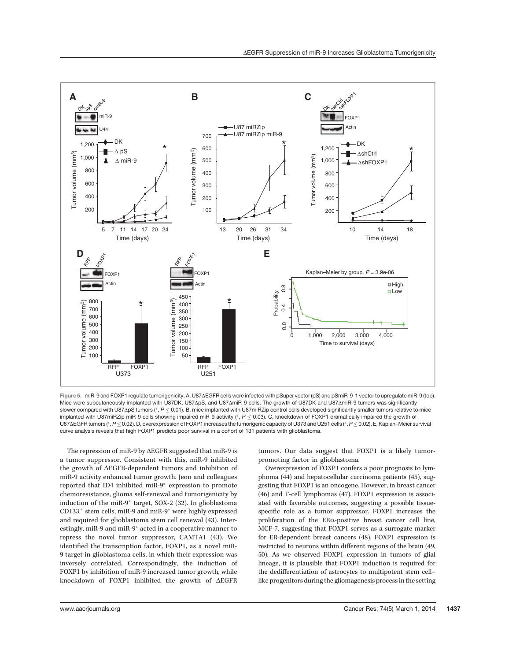

Figure 5. miR-9 and FOXP1 regulate tumorigenicity. A, U87 $\Delta$ EGFR cells were infected with pSuper vector (pS) and pSmiR-9-1 vector to upregulate miR-9 (top). Mice were subcutaneously implanted with U87DK, U87ApS, and U87AmiR-9 cells. The growth of U87DK and U87AmiR-9 tumors was significantly slower compared with U87 $\Delta$ pS tumors (\*, P < 0.01). B, mice implanted with U87miRZip control cells developed significantly smaller tumors relative to mice implanted with U87miRZip miR-9 cells showing impaired miR-9 activity  $(*, P \le 0.03)$ . C, knockdown of FOXP1 dramatically impaired the growth of U87 $\Delta$ EGFR tumors (\*, P < 0.02). D, overexpression of FOXP1 increases the tumorigenic capacity of U373 and U251 cells (\*, P < 0.02). E, Kaplan–Meier survival curve analysis reveals that high FOXP1 predicts poor survival in a cohort of 131 patients with glioblastoma.

The repression of miR-9 by  $\Delta E$ GFR suggested that miR-9 is a tumor suppressor. Consistent with this, miR-9 inhibited the growth of  $\triangle EGFR$ -dependent tumors and inhibition of miR-9 activity enhanced tumor growth. Jeon and colleagues reported that ID4 inhibited miR-9<sup>\*</sup> expression to promote chemoresistance, glioma self-renewal and tumorigenicity by induction of the miR-9<sup>\*</sup> target, SOX-2 (32). In glioblastoma  $CD133<sup>+</sup>$  stem cells, miR-9 and miR-9<sup>\*</sup> were highly expressed and required for glioblastoma stem cell renewal (43). Interestingly, miR-9 and miR-9<sup>\*</sup> acted in a cooperative manner to repress the novel tumor suppressor, CAMTA1 (43). We identified the transcription factor, FOXP1, as a novel miR-9 target in glioblastoma cells, in which their expression was inversely correlated. Correspondingly, the induction of FOXP1 by inhibition of miR-9 increased tumor growth, while knockdown of FOXP1 inhibited the growth of  $\triangle EGFR$ 

tumors. Our data suggest that FOXP1 is a likely tumorpromoting factor in glioblastoma.

Overexpression of FOXP1 confers a poor prognosis to lymphoma (44) and hepatocellular carcinoma patients (45), suggesting that FOXP1 is an oncogene. However, in breast cancer (46) and T-cell lymphomas (47), FOXP1 expression is associated with favorable outcomes, suggesting a possible tissuespecific role as a tumor suppressor. FOXP1 increases the proliferation of the ERa-positive breast cancer cell line, MCF-7, suggesting that FOXP1 serves as a surrogate marker for ER-dependent breast cancers (48). FOXP1 expression is restricted to neurons within different regions of the brain (49, 50). As we observed FOXP1 expression in tumors of glial lineage, it is plausible that FOXP1 induction is required for the dedifferentiation of astrocytes to multipotent stem cell– like progenitors during the gliomagenesis process in the setting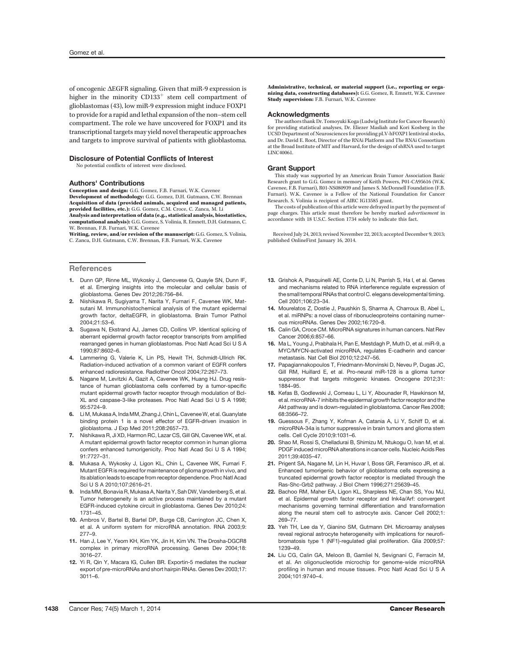of oncogenic DEGFR signaling. Given that miR-9 expression is higher in the minority  $CD133<sup>+</sup>$  stem cell compartment of glioblastomas (43), low miR-9 expression might induce FOXP1 to provide for a rapid and lethal expansion of the non–stem cell compartment. The role we have uncovered for FOXP1 and its transcriptional targets may yield novel therapeutic approaches and targets to improve survival of patients with glioblastoma.

## Disclosure of Potential Conflicts of Interest

No potential conflicts of interest were disclosed.

# Authors' Contributions

Conception and design: G.G. Gomez, F.B. Furnari, W.K. Cavenee Development of methodology: G.G. Gomez, D.H. Gutmann, C.W. Brennan Acquisition of data (provided animals, acquired and managed patients, provided facilities, etc.): G.G. Gomez, C.M. Croce, C. Zanca, M. Li Analysis and interpretation of data (e.g., statistical analysis, biostatistics, computational analysis): G.G. Gomez, S. Volinia, R. Emnett, D.H. Gutmann, C. W. Brennan, F.B. Furnari, W.K. Cavenee

Writing, review, and/or revision of the manuscript: G.G. Gomez, S. Volinia, C. Zanca, D.H. Gutmann, C.W. Brennan, F.B. Furnari, W.K. Cavenee

## **References**

- 1. Dunn GP, Rinne ML, Wykosky J, Genovese G, Quayle SN, Dunn IF, et al. Emerging insights into the molecular and cellular basis of glioblastoma. Genes Dev 2012;26:756–84.
- 2. Nishikawa R, Sugiyama T, Narita Y, Furnari F, Cavenee WK, Matsutani M. Immunohistochemical analysis of the mutant epidermal growth factor, deltaEGFR, in glioblastoma. Brain Tumor Pathol 2004;21:53–6.
- 3. Sugawa N, Ekstrand AJ, James CD, Collins VP. Identical splicing of aberrant epidermal growth factor receptor transcripts from amplified rearranged genes in human glioblastomas. Proc Natl Acad Sci U S A 1990;87:8602–6.
- 4. Lammering G, Valerie K, Lin PS, Hewit TH, Schmidt-Ullrich RK. Radiation-induced activation of a common variant of EGFR confers enhanced radioresistance. Radiother Oncol 2004;72:267–73.
- Nagane M, Levitzki A, Gazit A, Cavenee WK, Huang HJ. Drug resistance of human glioblastoma cells conferred by a tumor-specific mutant epidermal growth factor receptor through modulation of Bcl-XL and caspase-3-like proteases. Proc Natl Acad Sci U S A 1998; 95:5724–9.
- 6. Li M, Mukasa A, Inda MM, Zhang J, Chin L, CaveneeW, et al. Guanylate binding protein 1 is a novel effector of EGFR-driven invasion in glioblastoma. J Exp Med 2011;208:2657–73.
- 7. Nishikawa R, Ji XD, Harmon RC, Lazar CS, Gill GN, Cavenee WK, et al. A mutant epidermal growth factor receptor common in human glioma confers enhanced tumorigenicity. Proc Natl Acad Sci U S A 1994; 91:7727–31.
- 8. Mukasa A, Wykosky J, Ligon KL, Chin L, Cavenee WK, Furnari F. Mutant EGFR is required for maintenance of glioma growth in vivo, and its ablation leads to escape from receptor dependence. Proc Natl Acad Sci U S A 2010;107:2616–21.
- 9. Inda MM, Bonavia R, Mukasa A, Narita Y, Sah DW, Vandenberg S, et al. Tumor heterogeneity is an active process maintained by a mutant EGFR-induced cytokine circuit in glioblastoma. Genes Dev 2010;24: 1731–45.
- 10. Ambros V, Bartel B, Bartel DP, Burge CB, Carrington JC, Chen X, et al. A uniform system for microRNA annotation. RNA 2003;9: 277–9.
- 11. Han J, Lee Y, Yeom KH, Kim YK, Jin H, Kim VN. The Drosha-DGCR8 complex in primary microRNA processing. Genes Dev 2004;18: 3016–27.
- 12. Yi R, Qin Y, Macara IG, Cullen BR. Exportin-5 mediates the nuclear export of pre-microRNAs and short hairpin RNAs. Genes Dev 2003;17: 3011–6.

Administrative, technical, or material support (i.e., reporting or organizing data, constructing databases): G.G. Gomez, R. Emnett, W.K. Cavenee Study supervision: F.B. Furnari, W.K. Cavenee

## Acknowledgments

The authors thank Dr. Tomoyuki Koga (Ludwig Institute for Cancer Research) for providing statistical analyses, Dr. Eliezer Masliah and Kori Kosberg in the UCSD Department of Neurosciences for providing pLV-hFOXP1 lentiviral stocks, and Dr. David E. Root, Director of the RNAi Platform and The RNAi Consortium at the Broad Institute of MIT and Harvard, for the design of shRNA used to target LINC40061.

## Grant Support

This study was supported by an American Brain Tumor Association Basic Research grant to G.G. Gomez in memory of Keith Powers, P01-CA95616 (W.K. Cavenee, F.B. Furnari), R01-NS080939 and James S. McDonnell Foundation (F.B. Furnari). W.K. Cavenee is a Fellow of the National Foundation for Cancer Research. S. Volinia is recipient of AIRC IG13585 grant.

The costs of publication of this article were defrayed in part by the payment of page charges. This article must therefore be hereby marked advertisement in accordance with 18 U.S.C. Section 1734 solely to indicate this fact.

Received July 24, 2013; revised November 22, 2013; accepted December 9, 2013; published OnlineFirst January 16, 2014.

- 13. Grishok A, Pasquinelli AE, Conte D, Li N, Parrish S, Ha I, et al. Genes and mechanisms related to RNA interference regulate expression of the small temporal RNAs that control C. elegans developmental timing. Cell 2001;106:23–34.
- 14. Mourelatos Z, Dostie J, Paushkin S, Sharma A, Charroux B, Abel L, et al. miRNPs: a novel class of ribonucleoproteins containing numerous microRNAs. Genes Dev 2002;16:720–8.
- 15. Calin GA, Croce CM. MicroRNA signatures in human cancers. Nat Rev Cancer 2006;6:857–66.
- 16. Ma L, Young J, Prabhala H, Pan E, Mestdagh P, Muth D, et al. miR-9, a MYC/MYCN-activated microRNA, regulates E-cadherin and cancer metastasis. Nat Cell Biol 2010;12:247–56.
- 17. Papagiannakopoulos T, Friedmann-Morvinski D, Neveu P, Dugas JC, Gill RM, Huillard E, et al. Pro-neural miR-128 is a glioma tumor suppressor that targets mitogenic kinases. Oncogene 2012;31: 1884–95.
- 18. Kefas B, Godlewski J, Comeau L, Li Y, Abounader R, Hawkinson M, et al. microRNA-7 inhibits the epidermal growth factor receptor and the Akt pathway and is down-regulated in glioblastoma. Cancer Res 2008; 68:3566–72.
- 19. Guessous F, Zhang Y, Kofman A, Catania A, Li Y, Schiff D, et al. microRNA-34a is tumor suppressive in brain tumors and glioma stem cells. Cell Cycle 2010;9:1031–6.
- 20. Shao M, Rossi S, Chelladurai B, Shimizu M, Ntukogu O, Ivan M, et al. PDGF induced microRNA alterations in cancer cells. Nucleic Acids Res 2011;39:4035–47.
- 21. Prigent SA, Nagane M, Lin H, Huvar I, Boss GR, Feramisco JR, et al. Enhanced tumorigenic behavior of glioblastoma cells expressing a truncated epidermal growth factor receptor is mediated through the Ras-Shc-Grb2 pathway. J Biol Chem 1996;271:25639–45.
- 22. Bachoo RM, Maher EA, Ligon KL, Sharpless NE, Chan SS, You MJ, et al. Epidermal growth factor receptor and Ink4a/Arf: convergent mechanisms governing terminal differentiation and transformation along the neural stem cell to astrocyte axis. Cancer Cell 2002;1: 269–77.
- 23. Yeh TH, Lee da Y, Gianino SM, Gutmann DH. Microarray analyses reveal regional astrocyte heterogeneity with implications for neurofibromatosis type 1 (NF1)-regulated glial proliferation. Glia 2009;57: 1239–49.
- 24. Liu CG, Calin GA, Meloon B, Gamliel N, Sevignani C, Ferracin M, et al. An oligonucleotide microchip for genome-wide microRNA profiling in human and mouse tissues. Proc Natl Acad Sci U S A 2004;101:9740–4.